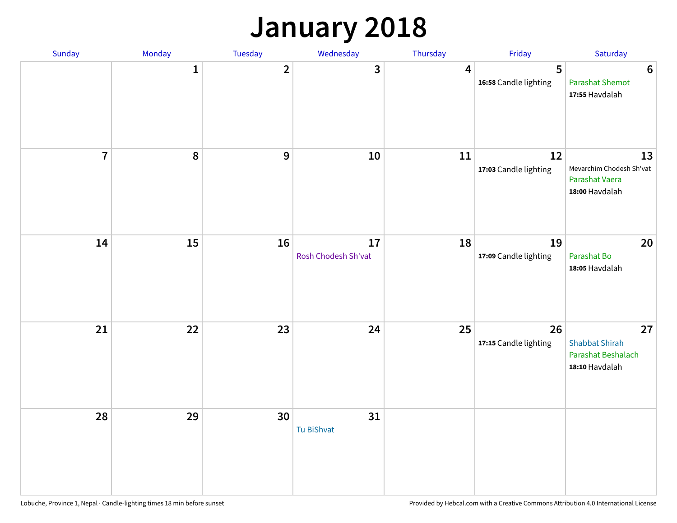### **January 2018**

| Sunday         | Monday      | Tuesday        | Wednesday                 | Thursday         | Friday                      | Saturday                                                            |
|----------------|-------------|----------------|---------------------------|------------------|-----------------------------|---------------------------------------------------------------------|
|                | $\mathbf 1$ | $\overline{2}$ | 3                         | $\boldsymbol{4}$ | 5<br>16:58 Candle lighting  | $6\phantom{1}6$<br><b>Parashat Shemot</b><br>17:55 Havdalah         |
| $\overline{7}$ | 8           | 9              | 10                        | 11               | 12<br>17:03 Candle lighting | 13<br>Mevarchim Chodesh Sh'vat<br>Parashat Vaera<br>18:00 Havdalah  |
| 14             | <b>15</b>   | 16             | 17<br>Rosh Chodesh Sh'vat | 18               | 19<br>17:09 Candle lighting | 20<br>Parashat Bo<br>18:05 Havdalah                                 |
| 21             | 22          | 23             | 24                        | 25               | 26<br>17:15 Candle lighting | 27<br><b>Shabbat Shirah</b><br>Parashat Beshalach<br>18:10 Havdalah |
| 28             | 29          | 30             | 31<br>Tu BiShvat          |                  |                             |                                                                     |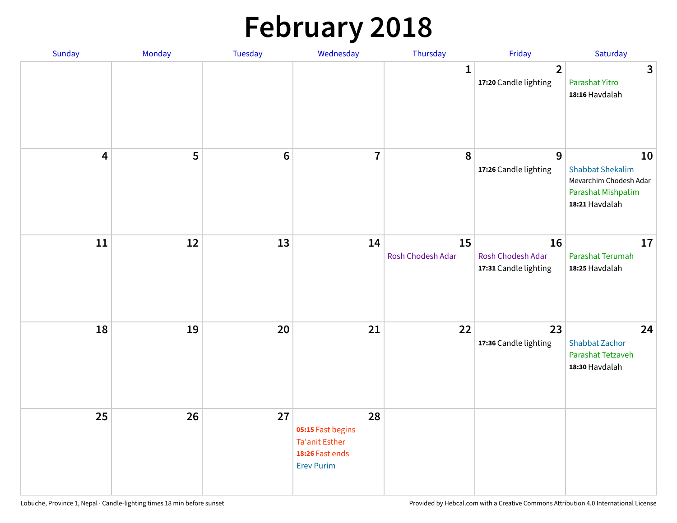# **February 2018**

| Sunday                  | Monday | Tuesday         | Wednesday                                                                                | Thursday                | Friday                                           | Saturday                                                                                        |
|-------------------------|--------|-----------------|------------------------------------------------------------------------------------------|-------------------------|--------------------------------------------------|-------------------------------------------------------------------------------------------------|
|                         |        |                 |                                                                                          | $\mathbf{1}$            | $\overline{2}$<br>17:20 Candle lighting          | $\mathbf{3}$<br>Parashat Yitro<br>18:16 Havdalah                                                |
| $\overline{\mathbf{4}}$ | 5      | $6\phantom{1}6$ | $\overline{7}$                                                                           | 8                       | $\overline{9}$<br>17:26 Candle lighting          | 10<br><b>Shabbat Shekalim</b><br>Mevarchim Chodesh Adar<br>Parashat Mishpatim<br>18:21 Havdalah |
| 11                      | 12     | 13              | 14                                                                                       | 15<br>Rosh Chodesh Adar | 16<br>Rosh Chodesh Adar<br>17:31 Candle lighting | 17<br>Parashat Terumah<br>18:25 Havdalah                                                        |
| 18                      | 19     | 20              | 21                                                                                       | 22                      | 23<br>17:36 Candle lighting                      | 24<br><b>Shabbat Zachor</b><br>Parashat Tetzaveh<br>18:30 Havdalah                              |
| 25                      | 26     | 27              | 28<br>05:15 Fast begins<br><b>Ta'anit Esther</b><br>18:26 Fast ends<br><b>Erev Purim</b> |                         |                                                  |                                                                                                 |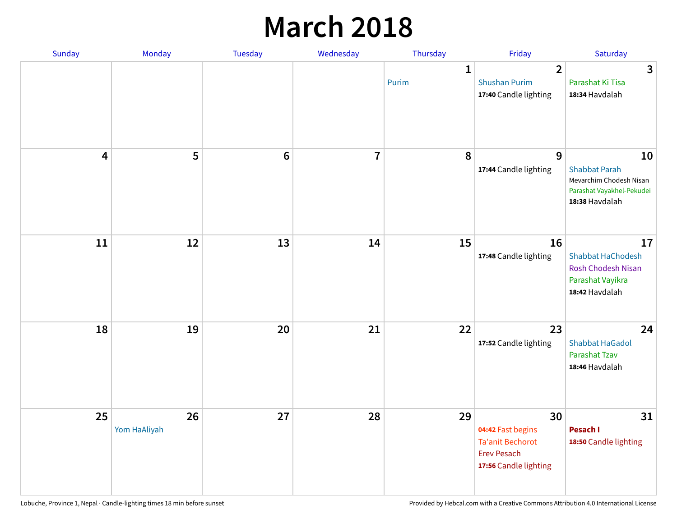### **March 2018**

| Sunday |                         | Monday             | <b>Tuesday</b> | Wednesday      | Thursday              | Friday                                                                                            | Saturday                                                                                             |
|--------|-------------------------|--------------------|----------------|----------------|-----------------------|---------------------------------------------------------------------------------------------------|------------------------------------------------------------------------------------------------------|
|        |                         |                    |                |                | $\mathbf{1}$<br>Purim | $\overline{2}$<br><b>Shushan Purim</b><br>17:40 Candle lighting                                   | 3<br>Parashat Ki Tisa<br>18:34 Havdalah                                                              |
|        | $\overline{\mathbf{4}}$ | 5                  | $\bf 6$        | $\overline{7}$ | 8                     | 9<br>17:44 Candle lighting                                                                        | 10<br><b>Shabbat Parah</b><br>Mevarchim Chodesh Nisan<br>Parashat Vayakhel-Pekudei<br>18:38 Havdalah |
|        | 11                      | 12                 | 13             | 14             | 15                    | 16<br>17:48 Candle lighting                                                                       | 17<br><b>Shabbat HaChodesh</b><br><b>Rosh Chodesh Nisan</b><br>Parashat Vayikra<br>18:42 Havdalah    |
|        | 18                      | 19                 | 20             | 21             | 22                    | 23<br>17:52 Candle lighting                                                                       | 24<br><b>Shabbat HaGadol</b><br>Parashat Tzav<br>18:46 Havdalah                                      |
|        | 25                      | 26<br>Yom HaAliyah | 27             | 28             | 29                    | 30<br>04:42 Fast begins<br><b>Ta'anit Bechorot</b><br><b>Erev Pesach</b><br>17:56 Candle lighting | 31<br>Pesach I<br>18:50 Candle lighting                                                              |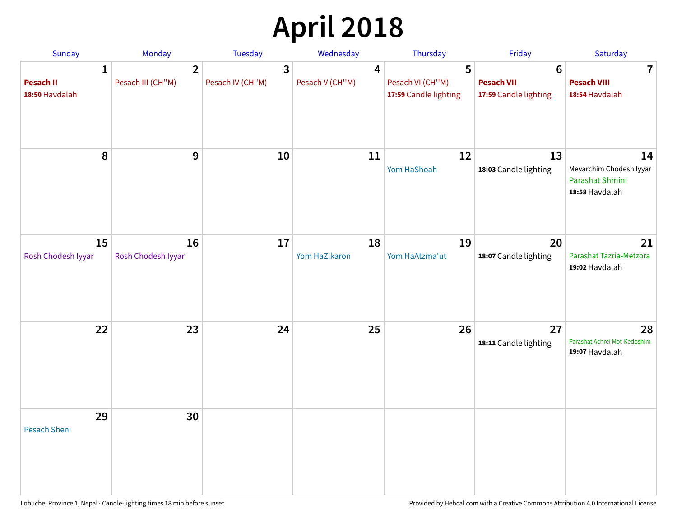# **April 2018**

| Sunday                                  | Monday                              | <b>Tuesday</b>        | Wednesday                                  | Thursday                                       | Friday                                                        | Saturday                                                           |
|-----------------------------------------|-------------------------------------|-----------------------|--------------------------------------------|------------------------------------------------|---------------------------------------------------------------|--------------------------------------------------------------------|
| 1<br><b>Pesach II</b><br>18:50 Havdalah | $\overline{2}$<br>Pesach III (CH"M) | 3<br>Pesach IV (CH"M) | $\overline{\mathbf{4}}$<br>Pesach V (CH"M) | 5<br>Pesach VI (CH"M)<br>17:59 Candle lighting | $6\phantom{1}6$<br><b>Pesach VII</b><br>17:59 Candle lighting | $\overline{\mathbf{7}}$<br><b>Pesach VIII</b><br>18:54 Havdalah    |
| 8                                       | $\boldsymbol{9}$                    | 10                    | 11                                         | 12<br>Yom HaShoah                              | 13<br>18:03 Candle lighting                                   | 14<br>Mevarchim Chodesh Iyyar<br>Parashat Shmini<br>18:58 Havdalah |
| 15<br>Rosh Chodesh Iyyar                | 16<br>Rosh Chodesh Iyyar            | 17                    | 18<br>Yom HaZikaron                        | 19<br>Yom HaAtzma'ut                           | 20<br>18:07 Candle lighting                                   | 21<br>Parashat Tazria-Metzora<br>19:02 Havdalah                    |
| 22                                      | 23                                  | 24                    | 25                                         | 26                                             | 27<br>18:11 Candle lighting                                   | 28<br>Parashat Achrei Mot-Kedoshim<br>19:07 Havdalah               |
| 29<br>Pesach Sheni                      | 30                                  |                       |                                            |                                                |                                                               |                                                                    |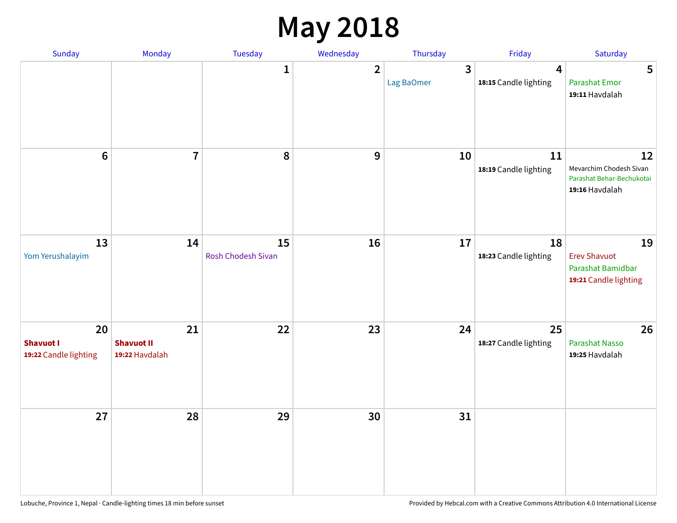### **May 2018**

| Sunday                                          | Monday                                    | <b>Tuesday</b>           | Wednesday      | Thursday                              | Friday                                           | Saturday                                                                     |
|-------------------------------------------------|-------------------------------------------|--------------------------|----------------|---------------------------------------|--------------------------------------------------|------------------------------------------------------------------------------|
|                                                 |                                           | $\mathbf{1}$             | $\overline{2}$ | $\overline{\mathbf{3}}$<br>Lag BaOmer | $\overline{\mathbf{4}}$<br>18:15 Candle lighting | 5<br>Parashat Emor<br>19:11 Havdalah                                         |
| $\boldsymbol{6}$                                | $\overline{7}$                            | 8                        | 9              | 10                                    | 11<br>18:19 Candle lighting                      | 12<br>Mevarchim Chodesh Sivan<br>Parashat Behar-Bechukotai<br>19:16 Havdalah |
| 13<br>Yom Yerushalayim                          | 14                                        | 15<br>Rosh Chodesh Sivan | 16             | 17                                    | 18<br>18:23 Candle lighting                      | 19<br><b>Erev Shavuot</b><br>Parashat Bamidbar<br>19:21 Candle lighting      |
| 20<br><b>Shavuot I</b><br>19:22 Candle lighting | 21<br><b>Shavuot II</b><br>19:22 Havdalah | 22                       | 23             | 24                                    | 25<br>18:27 Candle lighting                      | 26<br><b>Parashat Nasso</b><br>19:25 Havdalah                                |
| 27                                              | 28                                        | 29                       | 30             | 31                                    |                                                  |                                                                              |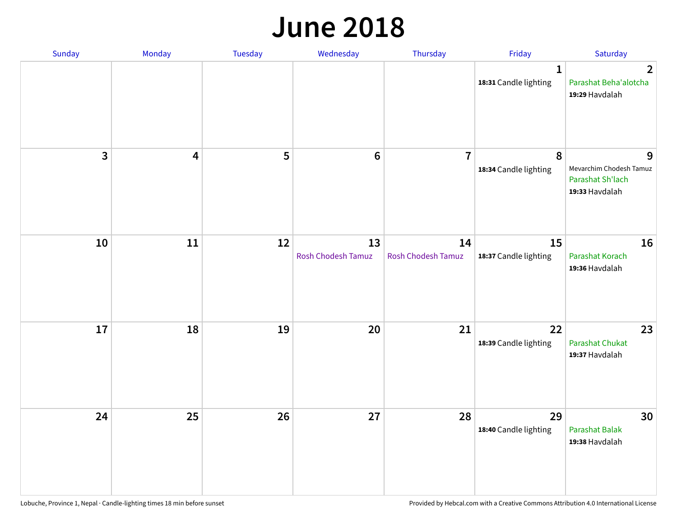#### **June 2018**

| Sunday                  | Monday | Tuesday | Wednesday                | Thursday                        | Friday                                | Saturday                                                           |
|-------------------------|--------|---------|--------------------------|---------------------------------|---------------------------------------|--------------------------------------------------------------------|
|                         |        |         |                          |                                 | $\mathbf{1}$<br>18:31 Candle lighting | $\overline{2}$<br>Parashat Beha'alotcha<br>19:29 Havdalah          |
| $\overline{\mathbf{3}}$ | 4      | 5       | $\bf 6$                  | $\overline{7}$                  | 8<br>18:34 Candle lighting            | 9<br>Mevarchim Chodesh Tamuz<br>Parashat Sh'lach<br>19:33 Havdalah |
| 10                      | $11\,$ | 12      | 13<br>Rosh Chodesh Tamuz | 14<br><b>Rosh Chodesh Tamuz</b> | 15<br>18:37 Candle lighting           | 16<br>Parashat Korach<br>19:36 Havdalah                            |
| 17                      | 18     | 19      | 20                       | 21                              | 22<br>18:39 Candle lighting           | 23<br><b>Parashat Chukat</b><br>19:37 Havdalah                     |
| 24                      | 25     | 26      | 27                       | 28                              | 29<br>18:40 Candle lighting           | 30<br>Parashat Balak<br>19:38 Havdalah                             |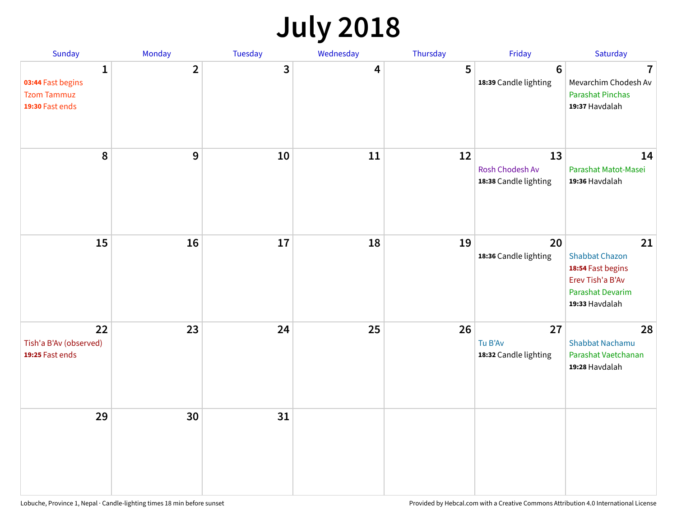# **July 2018**

| Sunday                                                          | Monday         | Tuesday      | Wednesday | Thursday | Friday                                         | Saturday                                                                                                   |
|-----------------------------------------------------------------|----------------|--------------|-----------|----------|------------------------------------------------|------------------------------------------------------------------------------------------------------------|
| 1<br>03:44 Fast begins<br><b>Tzom Tammuz</b><br>19:30 Fast ends | $\overline{2}$ | $\mathbf{3}$ | 4         | 5        | $6\phantom{1}6$<br>18:39 Candle lighting       | $\overline{7}$<br>Mevarchim Chodesh Av<br><b>Parashat Pinchas</b><br>19:37 Havdalah                        |
| 8                                                               | 9              | 10           | 11        | 12       | 13<br>Rosh Chodesh Av<br>18:38 Candle lighting | 14<br>Parashat Matot-Masei<br>19:36 Havdalah                                                               |
| 15                                                              | 16             | 17           | 18        | 19       | 20<br>18:36 Candle lighting                    | 21<br><b>Shabbat Chazon</b><br>18:54 Fast begins<br>Erev Tish'a B'Av<br>Parashat Devarim<br>19:33 Havdalah |
| 22<br>Tish'a B'Av (observed)<br>19:25 Fast ends                 | 23             | 24           | 25        | 26       | 27<br>Tu B'Av<br>18:32 Candle lighting         | 28<br><b>Shabbat Nachamu</b><br>Parashat Vaetchanan<br>19:28 Havdalah                                      |
| 29                                                              | 30             | 31           |           |          |                                                |                                                                                                            |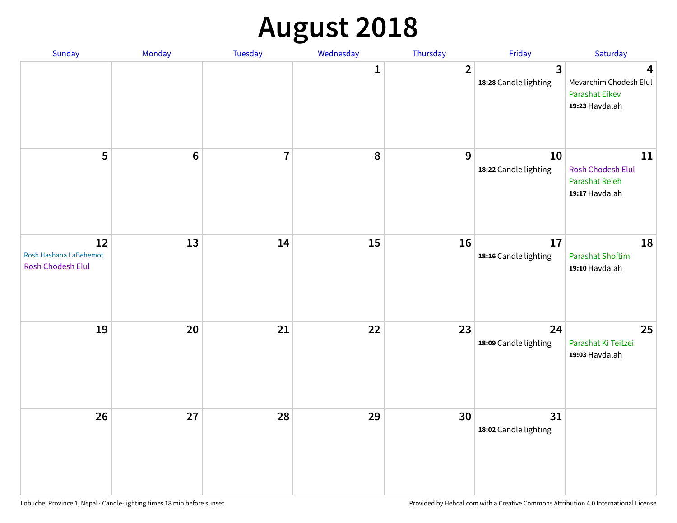# **August 2018**

| Sunday                                            | Monday          | Tuesday        | Wednesday   | Thursday         | Friday                                | Saturday                                                               |
|---------------------------------------------------|-----------------|----------------|-------------|------------------|---------------------------------------|------------------------------------------------------------------------|
|                                                   |                 |                | $\mathbf 1$ | $\overline{2}$   | $\mathbf{3}$<br>18:28 Candle lighting | 4<br>Mevarchim Chodesh Elul<br><b>Parashat Eikev</b><br>19:23 Havdalah |
| 5                                                 | $6\phantom{1}6$ | $\overline{7}$ | $\pmb{8}$   | $\boldsymbol{9}$ | 10<br>18:22 Candle lighting           | $11\,$<br><b>Rosh Chodesh Elul</b><br>Parashat Re'eh<br>19:17 Havdalah |
| 12<br>Rosh Hashana LaBehemot<br>Rosh Chodesh Elul | 13              | 14             | 15          | 16               | 17<br>18:16 Candle lighting           | 18<br><b>Parashat Shoftim</b><br>19:10 Havdalah                        |
| 19                                                | 20              | 21             | 22          | 23               | 24<br>18:09 Candle lighting           | 25<br>Parashat Ki Teitzei<br>19:03 Havdalah                            |
| 26                                                | 27              | 28             | 29          | 30               | 31<br>18:02 Candle lighting           |                                                                        |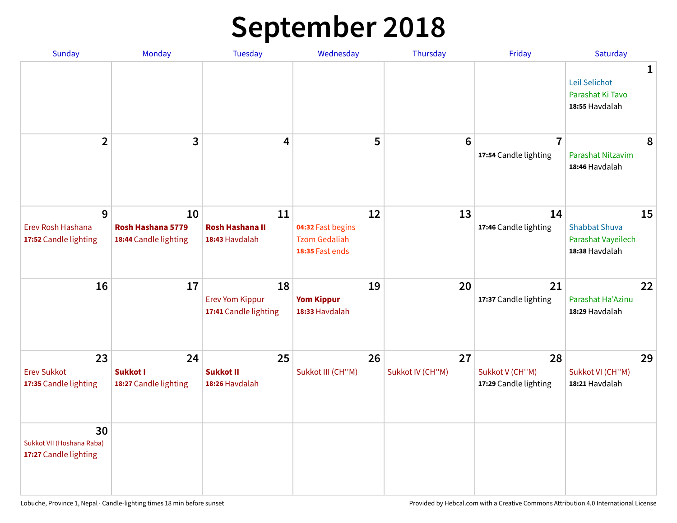## **September 2018**

| <b>Sunday</b>                                            | Monday                                           | <b>Tuesday</b>                                        | Wednesday                                                          | Thursday               | Friday                                         | Saturday                                                           |
|----------------------------------------------------------|--------------------------------------------------|-------------------------------------------------------|--------------------------------------------------------------------|------------------------|------------------------------------------------|--------------------------------------------------------------------|
|                                                          |                                                  |                                                       |                                                                    |                        |                                                | 1<br>Leil Selichot<br>Parashat Ki Tavo<br>18:55 Havdalah           |
| $\overline{2}$                                           | 3                                                | $\overline{\mathbf{4}}$                               | 5                                                                  | $6\phantom{1}6$        | $\overline{1}$<br>17:54 Candle lighting        | 8<br>Parashat Nitzavim<br>18:46 Havdalah                           |
| 9<br>Erev Rosh Hashana<br>17:52 Candle lighting          | 10<br>Rosh Hashana 5779<br>18:44 Candle lighting | 11<br><b>Rosh Hashana II</b><br>18:43 Havdalah        | 12<br>04:32 Fast begins<br><b>Tzom Gedaliah</b><br>18:35 Fast ends | 13                     | 14<br>17:46 Candle lighting                    | 15<br><b>Shabbat Shuva</b><br>Parashat Vayeilech<br>18:38 Havdalah |
| 16                                                       | 17                                               | 18<br><b>Erev Yom Kippur</b><br>17:41 Candle lighting | 19<br><b>Yom Kippur</b><br>18:33 Havdalah                          | 20                     | 21<br>17:37 Candle lighting                    | 22<br>Parashat Ha'Azinu<br>18:29 Havdalah                          |
| 23<br><b>Erev Sukkot</b><br>17:35 Candle lighting        | 24<br>Sukkot I<br>18:27 Candle lighting          | 25<br><b>Sukkot II</b><br>18:26 Havdalah              | 26<br>Sukkot III (CH"M)                                            | 27<br>Sukkot IV (CH"M) | 28<br>Sukkot V (CH"M)<br>17:29 Candle lighting | 29<br>Sukkot VI (CH"M)<br>18:21 Havdalah                           |
| 30<br>Sukkot VII (Hoshana Raba)<br>17:27 Candle lighting |                                                  |                                                       |                                                                    |                        |                                                |                                                                    |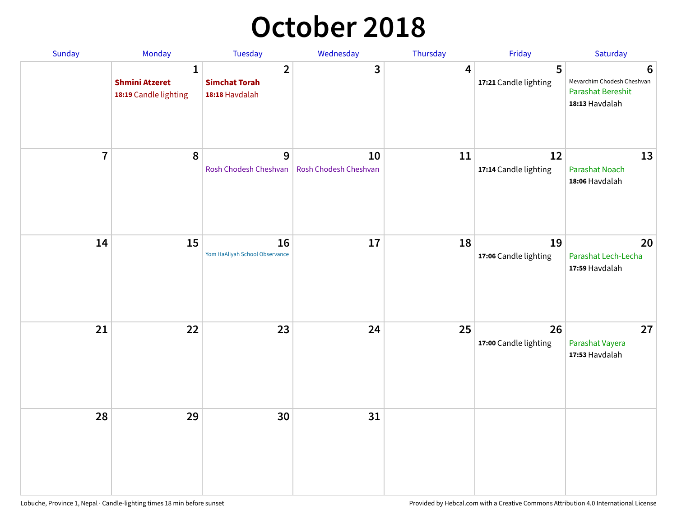### **October 2018**

| Sunday         | Monday                                                         | Tuesday                                                  | Wednesday                   | Thursday | Friday                      | Saturday                                                                      |
|----------------|----------------------------------------------------------------|----------------------------------------------------------|-----------------------------|----------|-----------------------------|-------------------------------------------------------------------------------|
|                | $\mathbf{1}$<br><b>Shmini Atzeret</b><br>18:19 Candle lighting | $\overline{2}$<br><b>Simchat Torah</b><br>18:18 Havdalah | 3                           | 4        | 5<br>17:21 Candle lighting  | 6<br>Mevarchim Chodesh Cheshvan<br><b>Parashat Bereshit</b><br>18:13 Havdalah |
| $\overline{7}$ | 8                                                              | 9<br>Rosh Chodesh Cheshvan                               | 10<br>Rosh Chodesh Cheshvan | 11       | 12<br>17:14 Candle lighting | 13<br><b>Parashat Noach</b><br>18:06 Havdalah                                 |
| 14             | 15                                                             | 16<br>Yom HaAliyah School Observance                     | 17                          | 18       | 19<br>17:06 Candle lighting | 20<br>Parashat Lech-Lecha<br>17:59 Havdalah                                   |
| 21             | 22                                                             | 23                                                       | 24                          | 25       | 26<br>17:00 Candle lighting | 27<br>Parashat Vayera<br>17:53 Havdalah                                       |
| 28             | 29                                                             | 30                                                       | 31                          |          |                             |                                                                               |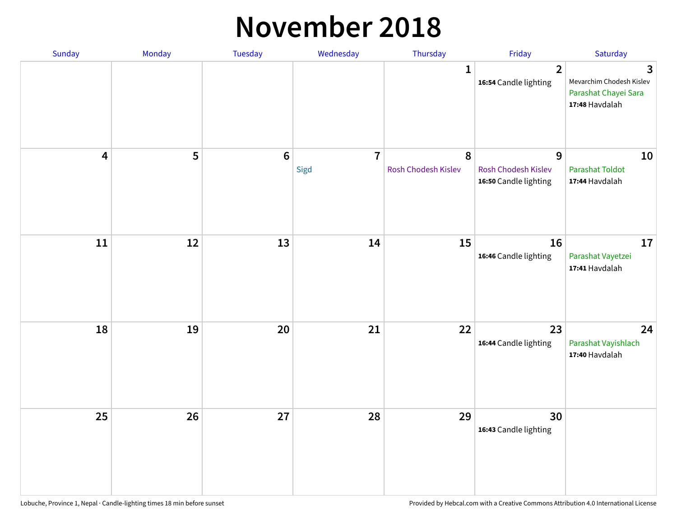#### **November 2018**

| Sunday                  | Monday | Tuesday         | Wednesday              | Thursday                 | Friday                                                   | Saturday                                                                |
|-------------------------|--------|-----------------|------------------------|--------------------------|----------------------------------------------------------|-------------------------------------------------------------------------|
|                         |        |                 |                        | $\mathbf{1}$             | $\overline{2}$<br>16:54 Candle lighting                  | 3<br>Mevarchim Chodesh Kislev<br>Parashat Chayei Sara<br>17:48 Havdalah |
| $\overline{\mathbf{4}}$ | 5      | $6\phantom{1}6$ | $\overline{7}$<br>Sigd | 8<br>Rosh Chodesh Kislev | 9<br><b>Rosh Chodesh Kislev</b><br>16:50 Candle lighting | 10<br><b>Parashat Toldot</b><br>17:44 Havdalah                          |
| ${\bf 11}$              | 12     | 13              | 14                     | 15                       | 16<br>16:46 Candle lighting                              | 17<br>Parashat Vayetzei<br>17:41 Havdalah                               |
| 18                      | 19     | 20              | 21                     | 22                       | 23<br>16:44 Candle lighting                              | 24<br>Parashat Vayishlach<br>17:40 Havdalah                             |
| 25                      | 26     | 27              | 28                     | 29                       | 30<br>16:43 Candle lighting                              |                                                                         |